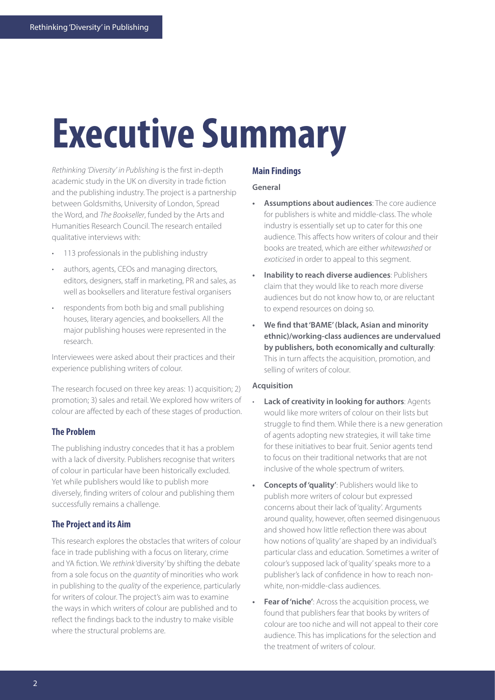# **Executive Summary**

*Rethinking 'Diversity' in Publishing* is the first in-depth academic study in the UK on diversity in trade fiction and the publishing industry. The project is a partnership between Goldsmiths, University of London, Spread the Word, and *The Bookseller*, funded by the Arts and Humanities Research Council. The research entailed qualitative interviews with:

- 113 professionals in the publishing industry
- authors, agents, CEOs and managing directors, editors, designers, staff in marketing, PR and sales, as well as booksellers and literature festival organisers
- respondents from both big and small publishing houses, literary agencies, and booksellers. All the major publishing houses were represented in the research.

Interviewees were asked about their practices and their experience publishing writers of colour.

The research focused on three key areas: 1) acquisition; 2) promotion; 3) sales and retail. We explored how writers of colour are affected by each of these stages of production.

## **The Problem**

The publishing industry concedes that it has a problem with a lack of diversity. Publishers recognise that writers of colour in particular have been historically excluded. Yet while publishers would like to publish more diversely, finding writers of colour and publishing them successfully remains a challenge.

## **The Project and its Aim**

This research explores the obstacles that writers of colour face in trade publishing with a focus on literary, crime and YA fiction. We *rethink* 'diversity' by shifting the debate from a sole focus on the *quantity* of minorities who work in publishing to the *quality* of the experience, particularly for writers of colour. The project's aim was to examine the ways in which writers of colour are published and to reflect the findings back to the industry to make visible where the structural problems are.

#### **Main Findings**

### **General**

- **• Assumptions about audiences**: The core audience for publishers is white and middle-class. The whole industry is essentially set up to cater for this one audience. This affects how writers of colour and their books are treated, which are either *whitewashed* or *exoticised* in order to appeal to this segment.
- **• Inability to reach diverse audiences**: Publishers claim that they would like to reach more diverse audiences but do not know how to, or are reluctant to expend resources on doing so.
- **• We find that 'BAME' (black, Asian and minority ethnic)/working-class audiences are undervalued by publishers, both economically and culturally**: This in turn affects the acquisition, promotion, and selling of writers of colour.

# **Acquisition**

- **Lack of creativity in looking for authors: Agents** would like more writers of colour on their lists but struggle to find them. While there is a new generation of agents adopting new strategies, it will take time for these initiatives to bear fruit. Senior agents tend to focus on their traditional networks that are not inclusive of the whole spectrum of writers.
- **• Concepts of 'quality'**: Publishers would like to publish more writers of colour but expressed concerns about their lack of 'quality'. Arguments around quality, however, often seemed disingenuous and showed how little reflection there was about how notions of 'quality' are shaped by an individual's particular class and education. Sometimes a writer of colour's supposed lack of 'quality' speaks more to a publisher's lack of confidence in how to reach nonwhite, non-middle-class audiences.
- **• Fear of 'niche'**: Across the acquisition process, we found that publishers fear that books by writers of colour are too niche and will not appeal to their core audience. This has implications for the selection and the treatment of writers of colour.